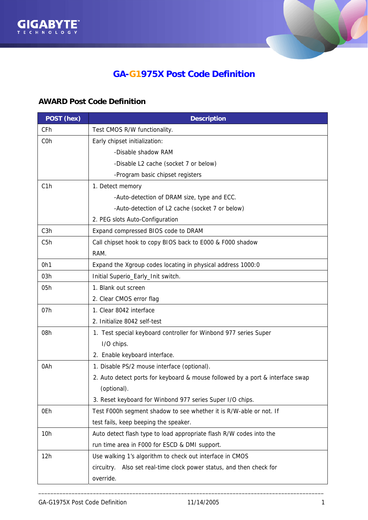



## **GA-G1975X Post Code Definition**

## **AWARD Post Code Definition**

| POST (hex)       | <b>Description</b>                                                            |
|------------------|-------------------------------------------------------------------------------|
| CFh              | Test CMOS R/W functionality.                                                  |
| C <sub>O</sub> h | Early chipset initialization:                                                 |
|                  | -Disable shadow RAM                                                           |
|                  | -Disable L2 cache (socket 7 or below)                                         |
|                  | -Program basic chipset registers                                              |
| C1h              | 1. Detect memory                                                              |
|                  | -Auto-detection of DRAM size, type and ECC.                                   |
|                  | -Auto-detection of L2 cache (socket 7 or below)                               |
|                  | 2. PEG slots Auto-Configuration                                               |
| C3h              | Expand compressed BIOS code to DRAM                                           |
| C <sub>5</sub> h | Call chipset hook to copy BIOS back to E000 & F000 shadow                     |
|                  | RAM.                                                                          |
| 0h1              | Expand the Xgroup codes locating in physical address 1000:0                   |
| 03h              | Initial Superio_Early_Init switch.                                            |
| 05h              | 1. Blank out screen                                                           |
|                  | 2. Clear CMOS error flag                                                      |
| 07h              | 1. Clear 8042 interface                                                       |
|                  | 2. Initialize 8042 self-test                                                  |
| 08h              | 1. Test special keyboard controller for Winbond 977 series Super              |
|                  | I/O chips.                                                                    |
|                  | 2. Enable keyboard interface.                                                 |
| 0Ah              | 1. Disable PS/2 mouse interface (optional).                                   |
|                  | 2. Auto detect ports for keyboard & mouse followed by a port & interface swap |
|                  | (optional).                                                                   |
|                  | 3. Reset keyboard for Winbond 977 series Super I/O chips.                     |
| 0Eh              | Test F000h segment shadow to see whether it is R/W-able or not. If            |
|                  | test fails, keep beeping the speaker.                                         |
| 10h              | Auto detect flash type to load appropriate flash R/W codes into the           |
|                  | run time area in F000 for ESCD & DMI support.                                 |
| 12h              | Use walking 1's algorithm to check out interface in CMOS                      |
|                  | Also set real-time clock power status, and then check for<br>circuitry.       |
|                  | override.                                                                     |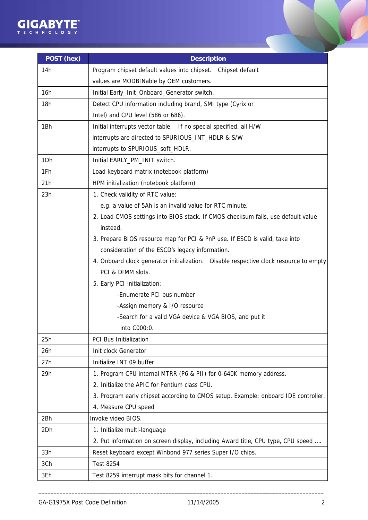

| POST (hex) | <b>Description</b>                                                                    |
|------------|---------------------------------------------------------------------------------------|
| 14h        | Program chipset default values into chipset. Chipset default                          |
|            | values are MODBINable by OEM customers.                                               |
| 16h        | Initial Early_Init_Onboard_Generator switch.                                          |
| 18h        | Detect CPU information including brand, SMI type (Cyrix or                            |
|            | Intel) and CPU level (586 or 686).                                                    |
| 1Bh        | Initial interrupts vector table. If no special specified, all H/W                     |
|            | interrupts are directed to SPURIOUS_INT_HDLR & S/W                                    |
|            | interrupts to SPURIOUS_soft_HDLR.                                                     |
| 1Dh        | Initial EARLY_PM_INIT switch.                                                         |
| 1Fh        | Load keyboard matrix (notebook platform)                                              |
| 21h        | HPM initialization (notebook platform)                                                |
| 23h        | 1. Check validity of RTC value:                                                       |
|            | e.g. a value of 5Ah is an invalid value for RTC minute.                               |
|            | 2. Load CMOS settings into BIOS stack. If CMOS checksum fails, use default value      |
|            | instead.                                                                              |
|            | 3. Prepare BIOS resource map for PCI & PnP use. If ESCD is valid, take into           |
|            | consideration of the ESCD's legacy information.                                       |
|            | 4. Onboard clock generator initialization. Disable respective clock resource to empty |
|            | PCI & DIMM slots.                                                                     |
|            | 5. Early PCI initialization:                                                          |
|            | -Enumerate PCI bus number                                                             |
|            | -Assign memory & I/O resource                                                         |
|            | -Search for a valid VGA device & VGA BIOS, and put it                                 |
|            | into C000:0.                                                                          |
| 25h        | PCI Bus Initialization                                                                |
| 26h        | Init clock Generator                                                                  |
| 27h        | Initialize INT 09 buffer                                                              |
| 29h        | 1. Program CPU internal MTRR (P6 & PII) for 0-640K memory address.                    |
|            | 2. Initialize the APIC for Pentium class CPU.                                         |
|            | 3. Program early chipset according to CMOS setup. Example: onboard IDE controller.    |
|            | 4. Measure CPU speed                                                                  |
| 2Bh        | Invoke video BIOS.                                                                    |
| 2Dh        | 1. Initialize multi-language                                                          |
|            | 2. Put information on screen display, including Award title, CPU type, CPU speed      |
| 33h        | Reset keyboard except Winbond 977 series Super I/O chips.                             |
| 3Ch        | <b>Test 8254</b>                                                                      |
| 3Eh        | Test 8259 interrupt mask bits for channel 1.                                          |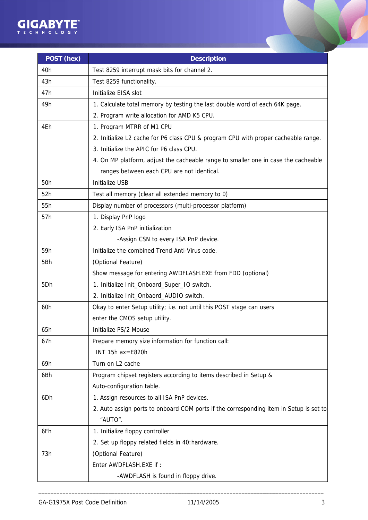

| POST (hex) | <b>Description</b>                                                                     |
|------------|----------------------------------------------------------------------------------------|
| 40h        | Test 8259 interrupt mask bits for channel 2.                                           |
| 43h        | Test 8259 functionality.                                                               |
| 47h        | Initialize EISA slot                                                                   |
| 49h        | 1. Calculate total memory by testing the last double word of each 64K page.            |
|            | 2. Program write allocation for AMD K5 CPU.                                            |
| 4Eh        | 1. Program MTRR of M1 CPU                                                              |
|            | 2. Initialize L2 cache for P6 class CPU & program CPU with proper cacheable range.     |
|            | 3. Initialize the APIC for P6 class CPU.                                               |
|            | 4. On MP platform, adjust the cacheable range to smaller one in case the cacheable     |
|            | ranges between each CPU are not identical.                                             |
| 50h        | <b>Initialize USB</b>                                                                  |
| 52h        | Test all memory (clear all extended memory to 0)                                       |
| 55h        | Display number of processors (multi-processor platform)                                |
| 57h        | 1. Display PnP logo                                                                    |
|            | 2. Early ISA PnP initialization                                                        |
|            | -Assign CSN to every ISA PnP device.                                                   |
| 59h        | Initialize the combined Trend Anti-Virus code.                                         |
| 5Bh        | (Optional Feature)                                                                     |
|            | Show message for entering AWDFLASH.EXE from FDD (optional)                             |
| 5Dh        | 1. Initialize Init_Onboard_Super_IO switch.                                            |
|            | 2. Initialize Init_Onbaord_AUDIO switch.                                               |
| 60h        | Okay to enter Setup utility; i.e. not until this POST stage can users                  |
|            | enter the CMOS setup utility.                                                          |
| 65h        | Initialize PS/2 Mouse                                                                  |
| 67h        | Prepare memory size information for function call:                                     |
|            | INT 15h ax=E820h                                                                       |
| 69h        | Turn on L2 cache                                                                       |
| 6Bh        | Program chipset registers according to items described in Setup &                      |
|            | Auto-configuration table.                                                              |
| 6Dh        | 1. Assign resources to all ISA PnP devices.                                            |
|            | 2. Auto assign ports to onboard COM ports if the corresponding item in Setup is set to |
|            | "AUTO".                                                                                |
| 6Fh        | 1. Initialize floppy controller                                                        |
|            | 2. Set up floppy related fields in 40:hardware.                                        |
| 73h        | (Optional Feature)                                                                     |
|            | Enter AWDFLASH.EXE if:                                                                 |
|            | -AWDFLASH is found in floppy drive.                                                    |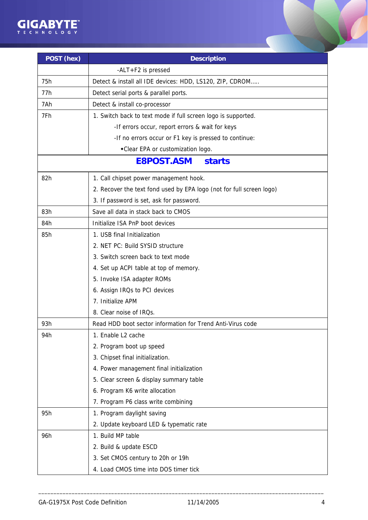

| POST (hex) | <b>Description</b>                                                   |
|------------|----------------------------------------------------------------------|
|            | -ALT+F2 is pressed                                                   |
| 75h        | Detect & install all IDE devices: HDD, LS120, ZIP, CDROM             |
| 77h        | Detect serial ports & parallel ports.                                |
| 7Ah        | Detect & install co-processor                                        |
| 7Fh        | 1. Switch back to text mode if full screen logo is supported.        |
|            | -If errors occur, report errors & wait for keys                      |
|            | -If no errors occur or F1 key is pressed to continue:                |
|            | *Clear EPA or customization logo.                                    |
|            | <b>E8POST.ASM</b><br><b>starts</b>                                   |
| 82h        | 1. Call chipset power management hook.                               |
|            | 2. Recover the text fond used by EPA logo (not for full screen logo) |
|            | 3. If password is set, ask for password.                             |
| 83h        | Save all data in stack back to CMOS                                  |
| 84h        | Initialize ISA PnP boot devices                                      |
| 85h        | 1. USB final Initialization                                          |
|            | 2. NET PC: Build SYSID structure                                     |
|            | 3. Switch screen back to text mode                                   |
|            | 4. Set up ACPI table at top of memory.                               |
|            | 5. Invoke ISA adapter ROMs                                           |
|            | 6. Assign IRQs to PCI devices                                        |
|            | 7. Initialize APM                                                    |
|            | 8. Clear noise of IRQs.                                              |
| 93h        | Read HDD boot sector information for Trend Anti-Virus code           |
| 94h        | 1. Enable L2 cache                                                   |
|            | 2. Program boot up speed                                             |
|            | 3. Chipset final initialization.                                     |
|            | 4. Power management final initialization                             |
|            | 5. Clear screen & display summary table                              |
|            | 6. Program K6 write allocation                                       |
|            | 7. Program P6 class write combining                                  |
| 95h        | 1. Program daylight saving                                           |
|            | 2. Update keyboard LED & typematic rate                              |
| 96h        | 1. Build MP table                                                    |
|            | 2. Build & update ESCD                                               |
|            | 3. Set CMOS century to 20h or 19h                                    |
|            | 4. Load CMOS time into DOS timer tick                                |